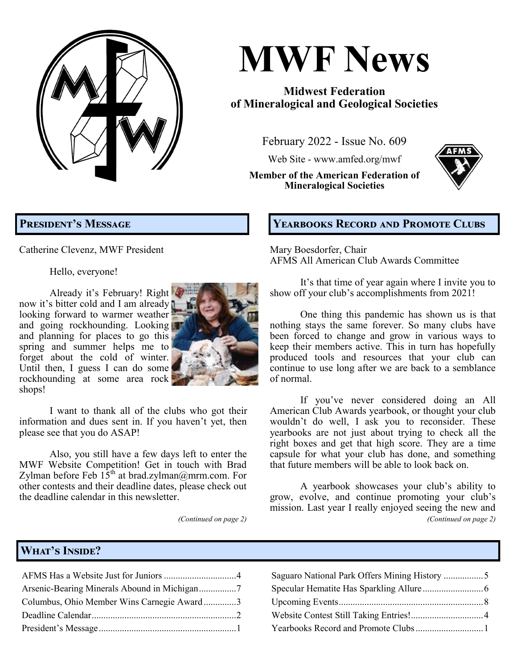**MWF News February 2022, Issue No. 609 Page 1**

# **MWF News**

# **Midwest Federation of Mineralogical and Geological Societies**

February 2022 - Issue No. 609

Web Site - [www.amfed.org/mwf](http://www.amfed.org/mwf)

**Member of the American Federation of Mineralogical Societies**



# **President's Message**

Catherine Clevenz, MWF President

Hello, everyone!

Already it's February! Right now it's bitter cold and I am already looking forward to warmer weather and going rockhounding. Looking and planning for places to go this spring and summer helps me to forget about the cold of winter. Until then, I guess I can do some rockhounding at some area rock shops!



I want to thank all of the clubs who got their information and dues sent in. If you haven't yet, then please see that you do ASAP!

Also, you still have a few days left to enter the MWF Website Competition! Get in touch with Brad Zylman before Feb 15<sup>th</sup> at [brad.zylman@mrm.com.](mailto:brad.zylman@mrm.com) For other contests and their deadline dates, please check out the deadline calendar in this newsletter.

*(Continued on page 2)*

# **Yearbooks Record and Promote Clubs**

Mary Boesdorfer, Chair AFMS All American Club Awards Committee

It's that time of year again where I invite you to show off your club's accomplishments from 2021!

One thing this pandemic has shown us is that nothing stays the same forever. So many clubs have been forced to change and grow in various ways to keep their members active. This in turn has hopefully produced tools and resources that your club can continue to use long after we are back to a semblance of normal.

If you've never considered doing an All American Club Awards yearbook, or thought your club wouldn't do well, I ask you to reconsider. These yearbooks are not just about trying to check all the right boxes and get that high score. They are a time capsule for what your club has done, and something that future members will be able to look back on.

A yearbook showcases your club's ability to grow, evolve, and continue promoting your club's mission. Last year I really enjoyed seeing the new and *(Continued on page 2)*

# **What's Inside?**

| Arsenic-Bearing Minerals Abound in Michigan7 |  |
|----------------------------------------------|--|
| Columbus, Ohio Member Wins Carnegie Award3   |  |
|                                              |  |
|                                              |  |
|                                              |  |

| Columbus, Ohio Member Wins Carnegie Award3 |  |
|--------------------------------------------|--|
|                                            |  |
|                                            |  |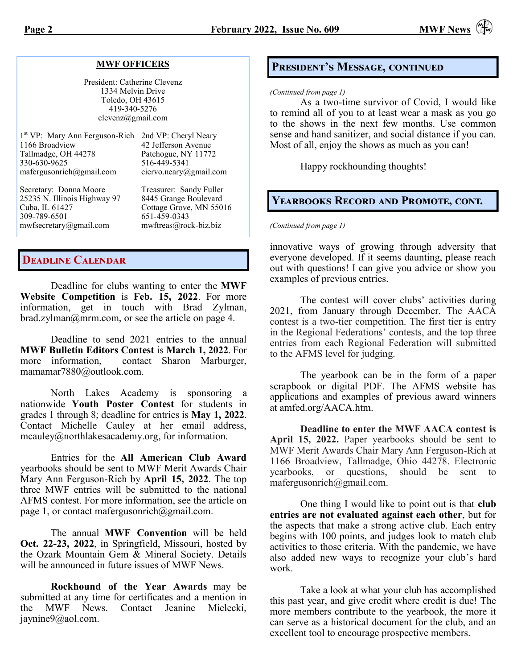#### **MWF OFFICERS**

President: Catherine Clevenz 1334 Melvin Drive Toledo, OH 43615 419-340-5276 clevenz@gmail.com

| 1st VP: Mary Ann Ferguson-Rich 2nd VP: Cheryl Neary |                         |
|-----------------------------------------------------|-------------------------|
| 1166 Broadview                                      | 42 Jefferson Avenue     |
| Tallmadge, OH 44278                                 | Patchogue, NY 11772     |
| 330-630-9625                                        | 516-449-5341            |
| mafergusonrich@gmail.com                            | ciervo.neary@gmail.com  |
| Secretary: Donna Moore                              | Treasurer: Sandy Fuller |
| 25235 N. Illinois Highway 97                        | 8445 Grange Boulevard   |
| Cuba, IL 61427                                      | Cottage Grove, MN 55016 |
| 200.700.001                                         | $\ell$ $\ell$ 1.50 0010 |

309-789-6501 651-459-0343 [mwfsecretary@gmail.com](mailto:mwfsecretary@gmail.com) [mwftreas@rock](mailto:mwftreas@rock-biz.biz)-biz.biz

## **Deadline Calendar**

Deadline for clubs wanting to enter the **MWF Website Competition** is **Feb. 15, 2022**. For more information, get in touch with Brad Zylman,  $brad.zylman@mm.com$ , or see the article on page 4.

Deadline to send 2021 entries to the annual **MWF Bulletin Editors Contest** is **March 1, 2022**. For more information, contact Sharon Marburger, [mamamar7880@outlook.com.](mailto:mamamar7880@outlook.com)

North Lakes Academy is sponsoring a nationwide **Youth Poster Contest** for students in grades 1 through 8; deadline for entries is **May 1, 2022**. Contact Michelle Cauley at her email address, [mcauley@northlakesacademy.org,](mailto:mcauley@northlakesacademy.org) for information.

Entries for the **All American Club Award** yearbooks should be sent to MWF Merit Awards Chair Mary Ann Ferguson-Rich by **April 15, 2022**. The top three MWF entries will be submitted to the national AFMS contest. For more information, see the article on page 1, or contact mafergusonrich $@g$ gmail.com.

The annual **MWF Convention** will be held **Oct. 22-23, 2022**, in Springfield, Missouri, hosted by the Ozark Mountain Gem & Mineral Society. Details will be announced in future issues of MWF News.

**Rockhound of the Year Awards** may be submitted at any time for certificates and a mention in the MWF News. Contact Jeanine Mielecki, [jaynine9@aol.com.](mailto:jaynine9@aol.com) 

# **President's Message, continued**

#### *(Continued from page 1)*

As a two-time survivor of Covid, I would like to remind all of you to at least wear a mask as you go to the shows in the next few months. Use common sense and hand sanitizer, and social distance if you can. Most of all, enjoy the shows as much as you can!

Happy rockhounding thoughts!

### **Yearbooks Record and Promote, cont.**

*(Continued from page 1)*

innovative ways of growing through adversity that everyone developed. If it seems daunting, please reach out with questions! I can give you advice or show you examples of previous entries.

The contest will cover clubs' activities during 2021, from January through December. The AACA contest is a two-tier competition. The first tier is entry in the Regional Federations' contests, and the top three entries from each Regional Federation will submitted to the AFMS level for judging.

The yearbook can be in the form of a paper scrapbook or digital PDF. The AFMS website has applications and examples of previous award winners at amfed.org/AACA.htm.

**Deadline to enter the MWF AACA contest is April 15, 2022.** Paper yearbooks should be sent to MWF Merit Awards Chair Mary Ann Ferguson-Rich at 1166 Broadview, Tallmadge, Ohio 44278. Electronic yearbooks, or questions, should be sent to mafergusonrich@gmail.com.

One thing I would like to point out is that **club entries are not evaluated against each other**, but for the aspects that make a strong active club. Each entry begins with 100 points, and judges look to match club activities to those criteria. With the pandemic, we have also added new ways to recognize your club's hard work.

Take a look at what your club has accomplished this past year, and give credit where credit is due! The more members contribute to the yearbook, the more it can serve as a historical document for the club, and an excellent tool to encourage prospective members.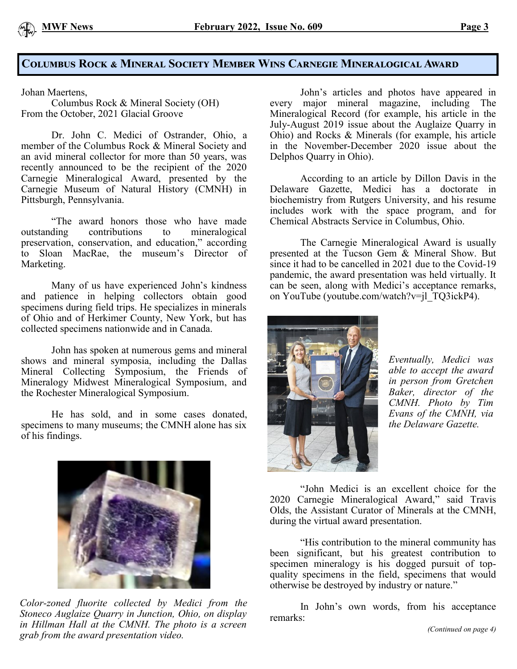## **Columbus Rock & Mineral Society Member Wins Carnegie Mineralogical Award**

Johan Maertens,

Columbus Rock & Mineral Society (OH) From the October, 2021 Glacial Groove

Dr. John C. Medici of Ostrander, Ohio, a member of the Columbus Rock & Mineral Society and an avid mineral collector for more than 50 years, was recently announced to be the recipient of the 2020 Carnegie Mineralogical Award, presented by the Carnegie Museum of Natural History (CMNH) in Pittsburgh, Pennsylvania.

"The award honors those who have made outstanding contributions to mineralogical preservation, conservation, and education," according to Sloan MacRae, the museum's Director of Marketing.

Many of us have experienced John's kindness and patience in helping collectors obtain good specimens during field trips. He specializes in minerals of Ohio and of Herkimer County, New York, but has collected specimens nationwide and in Canada.

John has spoken at numerous gems and mineral shows and mineral symposia, including the Dallas Mineral Collecting Symposium, the Friends of Mineralogy Midwest Mineralogical Symposium, and the Rochester Mineralogical Symposium.

He has sold, and in some cases donated, specimens to many museums; the CMNH alone has six of his findings.



*Color-zoned fluorite collected by Medici from the Stoneco Auglaize Quarry in Junction, Ohio, on display in Hillman Hall at the CMNH. The photo is a screen grab from the award presentation video.*

John's articles and photos have appeared in every major mineral magazine, including The Mineralogical Record (for example, his article in the July-August 2019 issue about the Auglaize Quarry in Ohio) and Rocks & Minerals (for example, his article in the November-December 2020 issue about the Delphos Quarry in Ohio).

According to an article by Dillon Davis in the Delaware Gazette, Medici has a doctorate in biochemistry from Rutgers University, and his resume includes work with the space program, and for Chemical Abstracts Service in Columbus, Ohio.

The Carnegie Mineralogical Award is usually presented at the Tucson Gem & Mineral Show. But since it had to be cancelled in 2021 due to the Covid-19 pandemic, the award presentation was held virtually. It can be seen, along with Medici's acceptance remarks, on YouTube (youtube.com/watch?v=jl\_TQ3ickP4).



*Eventually, Medici was able to accept the award in person from Gretchen Baker, director of the CMNH. Photo by Tim Evans of the CMNH, via the Delaware Gazette.*

"John Medici is an excellent choice for the 2020 Carnegie Mineralogical Award," said Travis Olds, the Assistant Curator of Minerals at the CMNH, during the virtual award presentation.

"His contribution to the mineral community has been significant, but his greatest contribution to specimen mineralogy is his dogged pursuit of topquality specimens in the field, specimens that would otherwise be destroyed by industry or nature."

In John's own words, from his acceptance remarks: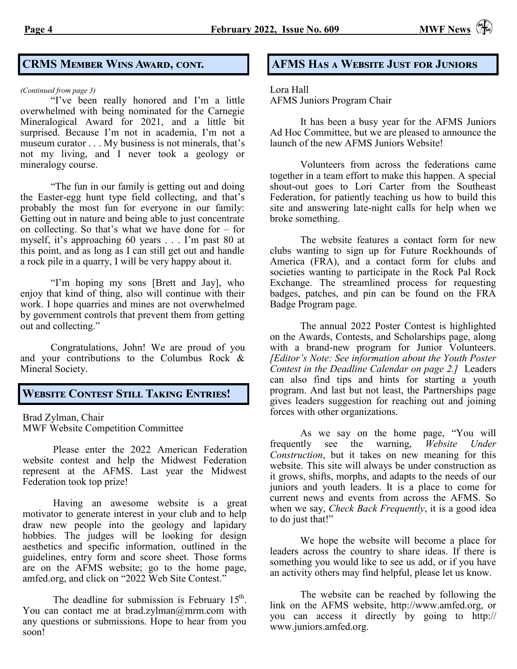# **CRMS Member Wins Award, cont.**

#### *(Continued from page 3)*

"I've been really honored and I'm a little overwhelmed with being nominated for the Carnegie Mineralogical Award for 2021, and a little bit surprised. Because I'm not in academia, I'm not a museum curator . . . My business is not minerals, that's not my living, and I never took a geology or mineralogy course.

"The fun in our family is getting out and doing the Easter-egg hunt type field collecting, and that's probably the most fun for everyone in our family: Getting out in nature and being able to just concentrate on collecting. So that's what we have done for – for myself, it's approaching 60 years . . . I'm past 80 at this point, and as long as I can still get out and handle a rock pile in a quarry, I will be very happy about it.

"I'm hoping my sons [Brett and Jay], who enjoy that kind of thing, also will continue with their work. I hope quarries and mines are not overwhelmed by government controls that prevent them from getting out and collecting."

Congratulations, John! We are proud of you and your contributions to the Columbus Rock & Mineral Society.

## **Website Contest Still Taking Entries!**

Brad Zylman, Chair MWF Website Competition Committee

Please enter the 2022 American Federation website contest and help the Midwest Federation represent at the AFMS. Last year the Midwest Federation took top prize!

Having an awesome website is a great motivator to generate interest in your club and to help draw new people into the geology and lapidary hobbies. The judges will be looking for design aesthetics and specific information, outlined in the guidelines, entry form and score sheet. Those forms are on the AFMS website; go to the home page, amfed.org, and click on "2022 Web Site Contest."

The deadline for submission is February  $15<sup>th</sup>$ . You can contact me at [brad.zylman@mrm.com w](mailto:brad.zylman@mrm.com)ith any questions or submissions. Hope to hear from you soon!

## **AFMS Has a Website Just for Juniors**

### Lora Hall

AFMS Juniors Program Chair

It has been a busy year for the AFMS Juniors Ad Hoc Committee, but we are pleased to announce the launch of the new AFMS Juniors Website!

Volunteers from across the federations came together in a team effort to make this happen. A special shout-out goes to Lori Carter from the Southeast Federation, for patiently teaching us how to build this site and answering late-night calls for help when we broke something.

The website features a contact form for new clubs wanting to sign up for Future Rockhounds of America (FRA), and a contact form for clubs and societies wanting to participate in the Rock Pal Rock Exchange. The streamlined process for requesting badges, patches, and pin can be found on the FRA Badge Program page.

The annual 2022 Poster Contest is highlighted on the Awards, Contests, and Scholarships page, along with a brand-new program for Junior Volunteers. *[Editor's Note: See information about the Youth Poster Contest in the Deadline Calendar on page 2.]* Leaders can also find tips and hints for starting a youth program. And last but not least, the Partnerships page gives leaders suggestion for reaching out and joining forces with other organizations.

As we say on the home page, "You will frequently see the warning, *Website Under Construction*, but it takes on new meaning for this website. This site will always be under construction as it grows, shifts, morphs, and adapts to the needs of our juniors and youth leaders. It is a place to come for current news and events from across the AFMS. So when we say, *Check Back Frequently*, it is a good idea to do just that!"

We hope the website will become a place for leaders across the country to share ideas. If there is something you would like to see us add, or if you have an activity others may find helpful, please let us know.

The website can be reached by following the link on the AFMS website, [http://www.amfed.org,](http://www.amfed.org) or you can access it directly by going to [http://](http://www.juniors.amfed.org) [www.juniors.amfed.org.](http://www.juniors.amfed.org)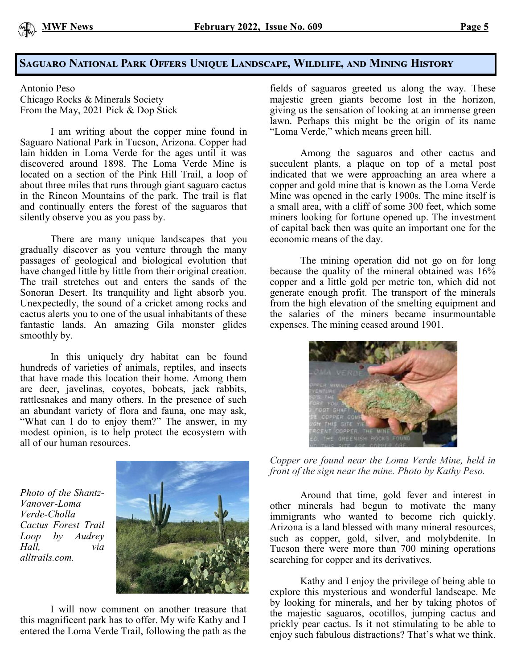# **Saguaro National Park Offers Unique Landscape, Wildlife, and Mining History**

Antonio Peso Chicago Rocks & Minerals Society From the May, 2021 Pick & Dop Stick

I am writing about the copper mine found in Saguaro National Park in Tucson, Arizona. Copper had lain hidden in Loma Verde for the ages until it was discovered around 1898. The Loma Verde Mine is located on a section of the Pink Hill Trail, a loop of about three miles that runs through giant saguaro cactus in the Rincon Mountains of the park. The trail is flat and continually enters the forest of the saguaros that silently observe you as you pass by.

There are many unique landscapes that you gradually discover as you venture through the many passages of geological and biological evolution that have changed little by little from their original creation. The trail stretches out and enters the sands of the Sonoran Desert. Its tranquility and light absorb you. Unexpectedly, the sound of a cricket among rocks and cactus alerts you to one of the usual inhabitants of these fantastic lands. An amazing Gila monster glides smoothly by.

In this uniquely dry habitat can be found hundreds of varieties of animals, reptiles, and insects that have made this location their home. Among them are deer, javelinas, coyotes, bobcats, jack rabbits, rattlesnakes and many others. In the presence of such an abundant variety of flora and fauna, one may ask, "What can I do to enjoy them?" The answer, in my modest opinion, is to help protect the ecosystem with all of our human resources.

*Photo of the Shantz-Vanover-Loma Verde-Cholla Cactus Forest Trail Loop by Audrey Hall, via alltrails.com.*



I will now comment on another treasure that this magnificent park has to offer. My wife Kathy and I entered the Loma Verde Trail, following the path as the

fields of saguaros greeted us along the way. These majestic green giants become lost in the horizon, giving us the sensation of looking at an immense green lawn. Perhaps this might be the origin of its name "Loma Verde," which means green hill.

Among the saguaros and other cactus and succulent plants, a plaque on top of a metal post indicated that we were approaching an area where a copper and gold mine that is known as the Loma Verde Mine was opened in the early 1900s. The mine itself is a small area, with a cliff of some 300 feet, which some miners looking for fortune opened up. The investment of capital back then was quite an important one for the economic means of the day.

The mining operation did not go on for long because the quality of the mineral obtained was 16% copper and a little gold per metric ton, which did not generate enough profit. The transport of the minerals from the high elevation of the smelting equipment and the salaries of the miners became insurmountable expenses. The mining ceased around 1901.



*Copper ore found near the Loma Verde Mine, held in front of the sign near the mine. Photo by Kathy Peso.*

Around that time, gold fever and interest in other minerals had begun to motivate the many immigrants who wanted to become rich quickly. Arizona is a land blessed with many mineral resources, such as copper, gold, silver, and molybdenite. In Tucson there were more than 700 mining operations searching for copper and its derivatives.

Kathy and I enjoy the privilege of being able to explore this mysterious and wonderful landscape. Me by looking for minerals, and her by taking photos of the majestic saguaros, ocotillos, jumping cactus and prickly pear cactus. Is it not stimulating to be able to enjoy such fabulous distractions? That's what we think.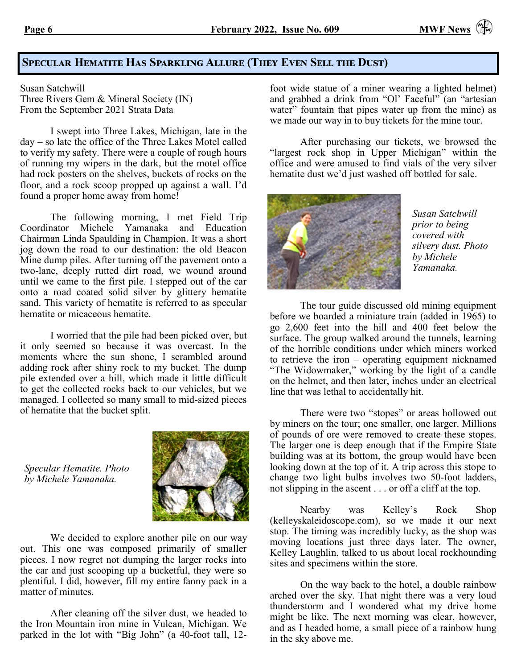# **Specular Hematite Has Sparkling Allure (They Even Sell the Dust)**

Susan Satchwill Three Rivers Gem & Mineral Society (IN) From the September 2021 Strata Data

I swept into Three Lakes, Michigan, late in the day – so late the office of the Three Lakes Motel called to verify my safety. There were a couple of rough hours of running my wipers in the dark, but the motel office had rock posters on the shelves, buckets of rocks on the floor, and a rock scoop propped up against a wall. I'd found a proper home away from home!

The following morning, I met Field Trip Coordinator Michele Yamanaka and Education Chairman Linda Spaulding in Champion. It was a short jog down the road to our destination: the old Beacon Mine dump piles. After turning off the pavement onto a two-lane, deeply rutted dirt road, we wound around until we came to the first pile. I stepped out of the car onto a road coated solid silver by glittery hematite sand. This variety of hematite is referred to as specular hematite or micaceous hematite.

I worried that the pile had been picked over, but it only seemed so because it was overcast. In the moments where the sun shone, I scrambled around adding rock after shiny rock to my bucket. The dump pile extended over a hill, which made it little difficult to get the collected rocks back to our vehicles, but we managed. I collected so many small to mid-sized pieces of hematite that the bucket split.

*Specular Hematite. Photo by Michele Yamanaka.*



We decided to explore another pile on our way out. This one was composed primarily of smaller pieces. I now regret not dumping the larger rocks into the car and just scooping up a bucketful, they were so plentiful. I did, however, fill my entire fanny pack in a matter of minutes.

After cleaning off the silver dust, we headed to the Iron Mountain iron mine in Vulcan, Michigan. We parked in the lot with "Big John" (a 40-foot tall, 12-

foot wide statue of a miner wearing a lighted helmet) and grabbed a drink from "Ol' Faceful" (an "artesian water" fountain that pipes water up from the mine) as we made our way in to buy tickets for the mine tour.

After purchasing our tickets, we browsed the "largest rock shop in Upper Michigan" within the office and were amused to find vials of the very silver hematite dust we'd just washed off bottled for sale.



*Susan Satchwill prior to being covered with silvery dust. Photo by Michele Yamanaka.*

The tour guide discussed old mining equipment before we boarded a miniature train (added in 1965) to go 2,600 feet into the hill and 400 feet below the surface. The group walked around the tunnels, learning of the horrible conditions under which miners worked to retrieve the iron – operating equipment nicknamed "The Widowmaker," working by the light of a candle on the helmet, and then later, inches under an electrical line that was lethal to accidentally hit.

There were two "stopes" or areas hollowed out by miners on the tour; one smaller, one larger. Millions of pounds of ore were removed to create these stopes. The larger one is deep enough that if the Empire State building was at its bottom, the group would have been looking down at the top of it. A trip across this stope to change two light bulbs involves two 50-foot ladders, not slipping in the ascent . . . or off a cliff at the top.

Nearby was Kelley's Rock Shop (kelleyskaleidoscope.com), so we made it our next stop. The timing was incredibly lucky, as the shop was moving locations just three days later. The owner, Kelley Laughlin, talked to us about local rockhounding sites and specimens within the store.

On the way back to the hotel, a double rainbow arched over the sky. That night there was a very loud thunderstorm and I wondered what my drive home might be like. The next morning was clear, however, and as I headed home, a small piece of a rainbow hung in the sky above me.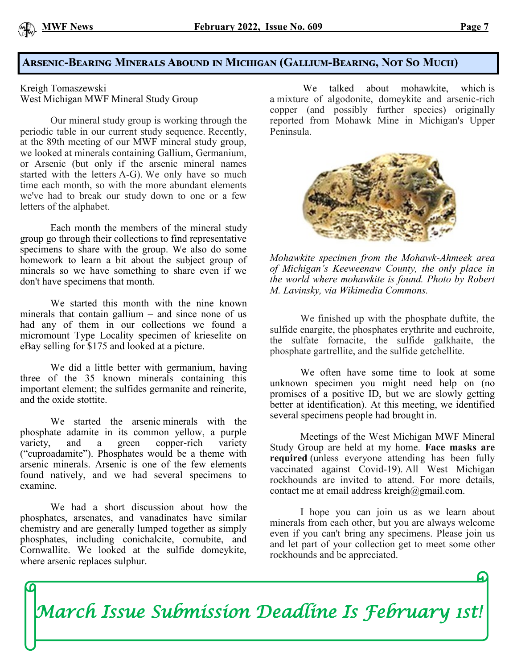# **Arsenic-Bearing Minerals Abound in Michigan (Gallium-Bearing, Not So Much)**

Kreigh Tomaszewski West Michigan MWF Mineral Study Group

Our mineral study group is working through the periodic table in our current study sequence. Recently, at the 89th meeting of our MWF mineral study group, we looked at minerals containing Gallium, Germanium, or Arsenic (but only if the arsenic mineral names started with the letters A-G). We only have so much time each month, so with the more abundant elements we've had to break our study down to one or a few letters of the alphabet.

Each month the members of the mineral study group go through their collections to find representative specimens to share with the group. We also do some homework to learn a bit about the subject group of minerals so we have something to share even if we don't have specimens that month.

We started this month with the nine known minerals that contain gallium – and since none of us had any of them in our collections we found a micromount Type Locality specimen of krieselite on eBay selling for \$175 and looked at a picture.

We did a little better with germanium, having three of the 35 known minerals containing this important element; the sulfides germanite and reinerite, and the oxide stottite.

We started the arsenic minerals with the phosphate adamite in its common yellow, a purple variety, and a green copper-rich variety ("cuproadamite"). Phosphates would be a theme with arsenic minerals. Arsenic is one of the few elements found natively, and we had several specimens to examine.

We had a short discussion about how the phosphates, arsenates, and vanadinates have similar chemistry and are generally lumped together as simply phosphates, including conichalcite, cornubite, and Cornwallite. We looked at the sulfide domeykite, where arsenic replaces sulphur.

We talked about mohawkite, which is a mixture of algodonite, domeykite and arsenic-rich copper (and possibly further species) originally reported from Mohawk Mine in Michigan's Upper Peninsula.



*Mohawkite specimen from the Mohawk-Ahmeek area of Michigan's Keeweenaw County, the only place in the world where mohawkite is found. Photo by Robert M. Lavinsky, via Wikimedia Commons.*

We finished up with the phosphate duftite, the sulfide enargite, the phosphates erythrite and euchroite, the sulfate fornacite, the sulfide galkhaite, the phosphate gartrellite, and the sulfide getchellite.

We often have some time to look at some unknown specimen you might need help on (no promises of a positive ID, but we are slowly getting better at identification). At this meeting, we identified several specimens people had brought in.

Meetings of the West Michigan MWF Mineral Study Group are held at my home. **Face masks are required** (unless everyone attending has been fully vaccinated against Covid-19). All West Michigan rockhounds are invited to attend. For more details, contact me at email address [kreigh@gmail.com.](mailto:kreigh@gmail.com)

I hope you can join us as we learn about minerals from each other, but you are always welcome even if you can't bring any specimens. Please join us and let part of your collection get to meet some other rockhounds and be appreciated.

*March Issue Submission Deadline Is February 1st!*